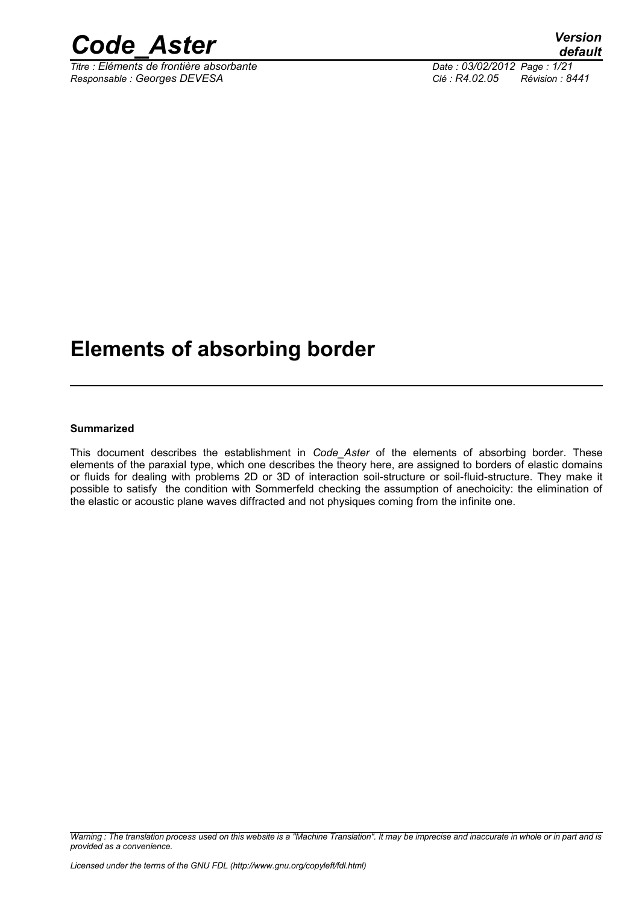

*Titre : Eléments de frontière absorbante Date : 03/02/2012 Page : 1/21 Responsable : Georges DEVESA Clé : R4.02.05 Révision : 8441*

# **Elements of absorbing border**

#### **Summarized**

This document describes the establishment in *Code\_Aster* of the elements of absorbing border. These elements of the paraxial type, which one describes the theory here, are assigned to borders of elastic domains or fluids for dealing with problems 2D or 3D of interaction soil-structure or soil-fluid-structure. They make it possible to satisfy the condition with Sommerfeld checking the assumption of anechoicity: the elimination of the elastic or acoustic plane waves diffracted and not physiques coming from the infinite one.

*Warning : The translation process used on this website is a "Machine Translation". It may be imprecise and inaccurate in whole or in part and is provided as a convenience.*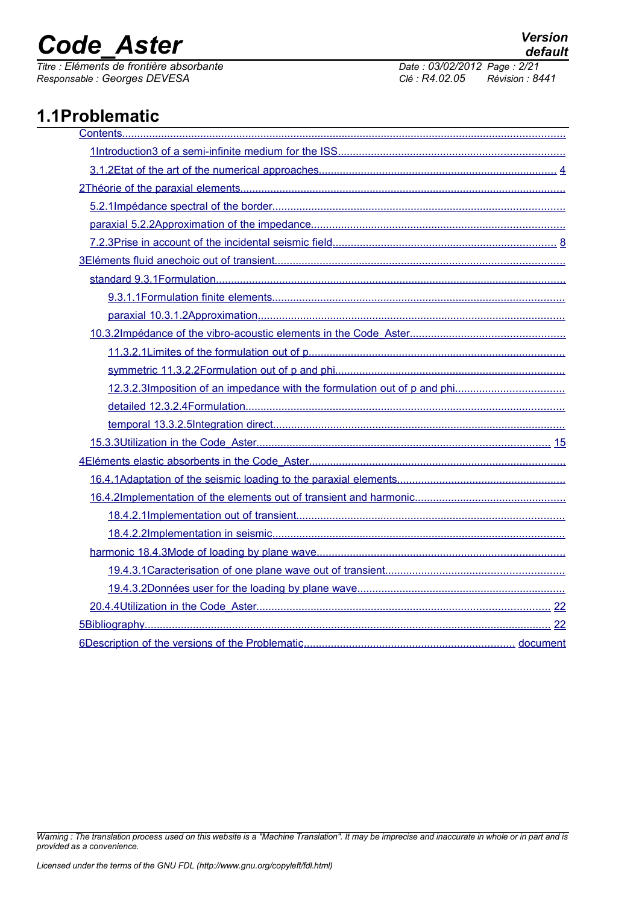*Titre : Eléments de frontière absorbante Date : 03/02/2012 Page : 2/21 Responsable : Georges DEVESA Clé : R4.02.05 Révision : 8441*

# **1.1Problematic**

*default*

*Warning : The translation process used on this website is a "Machine Translation". It may be imprecise and inaccurate in whole or in part and is provided as a convenience.*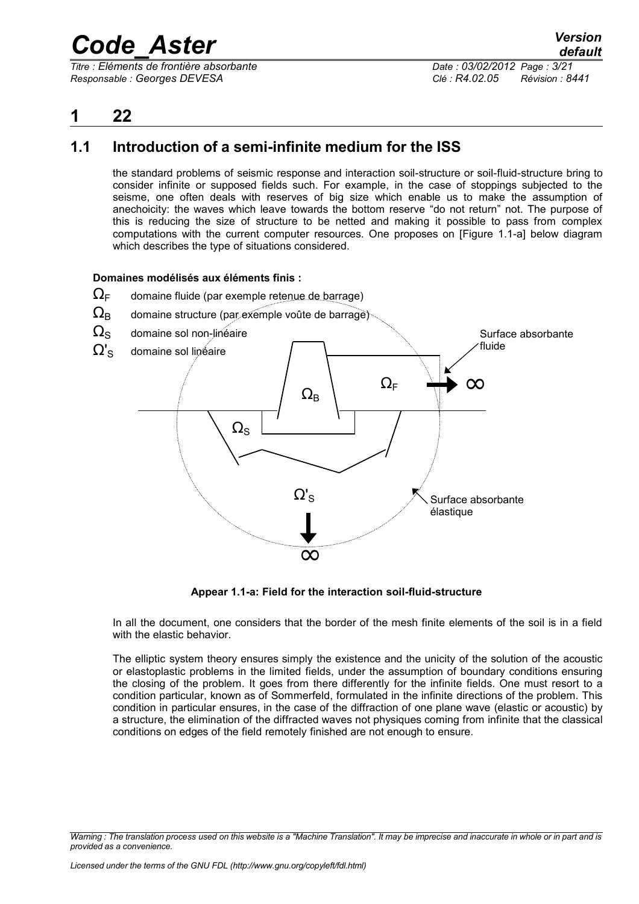*Titre : Eléments de frontière absorbante Date : 03/02/2012 Page : 3/21 Responsable : Georges DEVESA Clé : R4.02.05 Révision : 8441*

### <span id="page-2-0"></span>**1 22**

### **1.1 Introduction of a semi-infinite medium for the ISS**

<span id="page-2-1"></span>the standard problems of seismic response and interaction soil-structure or soil-fluid-structure bring to consider infinite or supposed fields such. For example, in the case of stoppings subjected to the seisme, one often deals with reserves of big size which enable us to make the assumption of anechoicity: the waves which leave towards the bottom reserve "do not return" not. The purpose of this is reducing the size of structure to be netted and making it possible to pass from complex computations with the current computer resources. One proposes on [Figure 1.1-a] below diagram which describes the type of situations considered.

#### **Domaines modélisés aux éléments finis :**

- $\Omega_{\text{F}}$  domaine fluide (par exemple retenue de barrage)
- $\Omega_{\rm B}$  domaine structure (par exemple voûte de barrage)
- $\Omega_{\rm S}$  domaine sol non-linéaire



**Appear 1.1-a: Field for the interaction soil-fluid-structure**

In all the document, one considers that the border of the mesh finite elements of the soil is in a field with the elastic behavior.

The elliptic system theory ensures simply the existence and the unicity of the solution of the acoustic or elastoplastic problems in the limited fields, under the assumption of boundary conditions ensuring the closing of the problem. It goes from there differently for the infinite fields. One must resort to a condition particular, known as of Sommerfeld, formulated in the infinite directions of the problem. This condition in particular ensures, in the case of the diffraction of one plane wave (elastic or acoustic) by a structure, the elimination of the diffracted waves not physiques coming from infinite that the classical conditions on edges of the field remotely finished are not enough to ensure.

*Warning : The translation process used on this website is a "Machine Translation". It may be imprecise and inaccurate in whole or in part and is provided as a convenience.*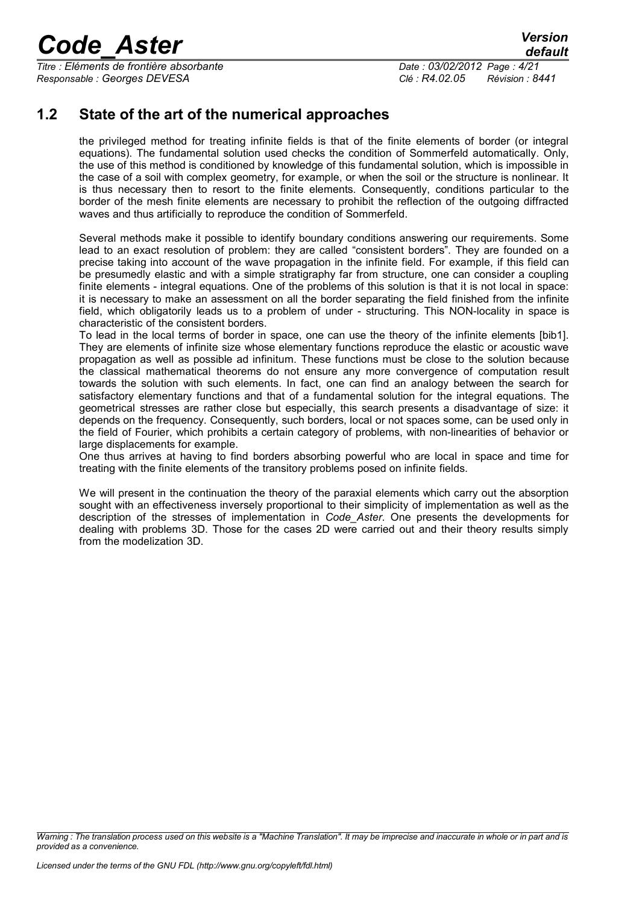*Titre : Eléments de frontière absorbante Date : 03/02/2012 Page : 4/21 Responsable : Georges DEVESA Clé : R4.02.05 Révision : 8441*

### **1.2 State of the art of the numerical approaches**

<span id="page-3-0"></span>the privileged method for treating infinite fields is that of the finite elements of border (or integral equations). The fundamental solution used checks the condition of Sommerfeld automatically. Only, the use of this method is conditioned by knowledge of this fundamental solution, which is impossible in the case of a soil with complex geometry, for example, or when the soil or the structure is nonlinear. It is thus necessary then to resort to the finite elements. Consequently, conditions particular to the border of the mesh finite elements are necessary to prohibit the reflection of the outgoing diffracted waves and thus artificially to reproduce the condition of Sommerfeld.

Several methods make it possible to identify boundary conditions answering our requirements. Some lead to an exact resolution of problem: they are called "consistent borders". They are founded on a precise taking into account of the wave propagation in the infinite field. For example, if this field can be presumedly elastic and with a simple stratigraphy far from structure, one can consider a coupling finite elements - integral equations. One of the problems of this solution is that it is not local in space: it is necessary to make an assessment on all the border separating the field finished from the infinite field, which obligatorily leads us to a problem of under - structuring. This NON-locality in space is characteristic of the consistent borders.

To lead in the local terms of border in space, one can use the theory of the infinite elements [bib1]. They are elements of infinite size whose elementary functions reproduce the elastic or acoustic wave propagation as well as possible ad infinitum. These functions must be close to the solution because the classical mathematical theorems do not ensure any more convergence of computation result towards the solution with such elements. In fact, one can find an analogy between the search for satisfactory elementary functions and that of a fundamental solution for the integral equations. The geometrical stresses are rather close but especially, this search presents a disadvantage of size: it depends on the frequency. Consequently, such borders, local or not spaces some, can be used only in the field of Fourier, which prohibits a certain category of problems, with non-linearities of behavior or large displacements for example.

One thus arrives at having to find borders absorbing powerful who are local in space and time for treating with the finite elements of the transitory problems posed on infinite fields.

We will present in the continuation the theory of the paraxial elements which carry out the absorption sought with an effectiveness inversely proportional to their simplicity of implementation as well as the description of the stresses of implementation in *Code\_Aster*. One presents the developments for dealing with problems 3D. Those for the cases 2D were carried out and their theory results simply from the modelization 3D.

*Warning : The translation process used on this website is a "Machine Translation". It may be imprecise and inaccurate in whole or in part and is provided as a convenience.*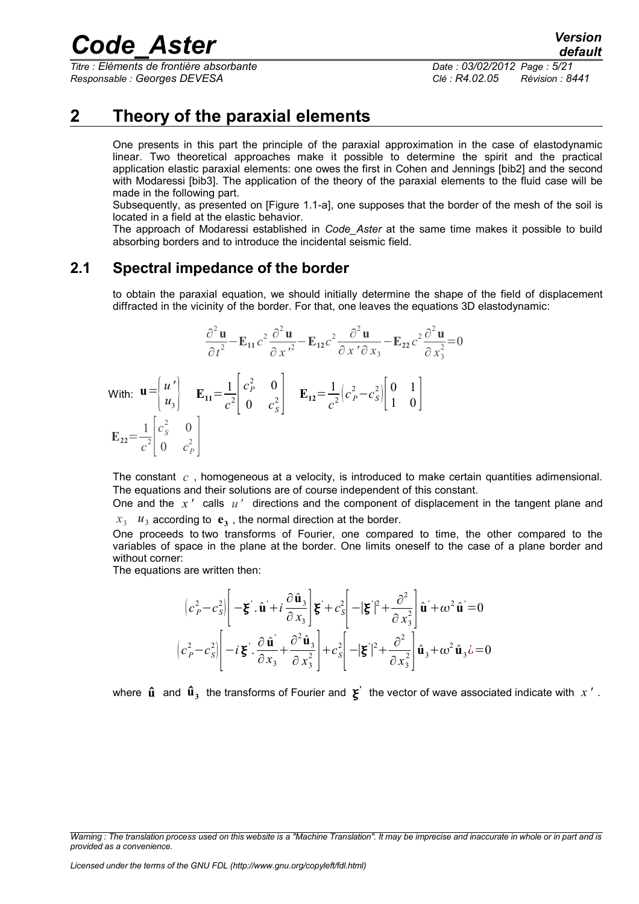*Titre : Eléments de frontière absorbante Date : 03/02/2012 Page : 5/21 Responsable : Georges DEVESA Clé : R4.02.05 Révision : 8441*

### **2 Theory of the paraxial elements**

<span id="page-4-1"></span>One presents in this part the principle of the paraxial approximation in the case of elastodynamic linear. Two theoretical approaches make it possible to determine the spirit and the practical application elastic paraxial elements: one owes the first in Cohen and Jennings [bib2] and the second with Modaressi [bib3]. The application of the theory of the paraxial elements to the fluid case will be made in the following part.

Subsequently, as presented on [Figure 1.1-a], one supposes that the border of the mesh of the soil is located in a field at the elastic behavior.

The approach of Modaressi established in *Code\_Aster* at the same time makes it possible to build absorbing borders and to introduce the incidental seismic field.

### **2.1 Spectral impedance of the border**

<span id="page-4-0"></span>to obtain the paraxial equation, we should initially determine the shape of the field of displacement diffracted in the vicinity of the border. For that, one leaves the equations 3D elastodynamic:

$$
\frac{\partial^2 \mathbf{u}}{\partial t^2} - \mathbf{E}_{11} c^2 \frac{\partial^2 \mathbf{u}}{\partial x'^2} - \mathbf{E}_{12} c^2 \frac{\partial^2 \mathbf{u}}{\partial x' \partial x_3} - \mathbf{E}_{22} c^2 \frac{\partial^2 \mathbf{u}}{\partial x_3^2} = 0
$$
  
With:  $\mathbf{u} = \begin{bmatrix} u' \\ u_3 \end{bmatrix}$   $\mathbf{E}_{11} = \frac{1}{c^2} \begin{bmatrix} c_p^2 & 0 \\ 0 & c_s^2 \end{bmatrix}$   $\mathbf{E}_{12} = \frac{1}{c^2} \begin{bmatrix} c_p^2 - c_s^2 \end{bmatrix} \begin{bmatrix} 0 & 1 \\ 1 & 0 \end{bmatrix}$   
 $\mathbf{E}_{22} = \frac{1}{c^2} \begin{bmatrix} c_s^2 & 0 \\ 0 & c_p^2 \end{bmatrix}$ 

The constant *c* , homogeneous at a velocity, is introduced to make certain quantities adimensional. The equations and their solutions are of course independent of this constant.

One and the *x '* calls *u'* directions and the component of displacement in the tangent plane and  $x_3$   $u_3$  according to  $e_3$ , the normal direction at the border.

One proceeds to two transforms of Fourier, one compared to time, the other compared to the variables of space in the plane at the border. One limits oneself to the case of a plane border and without corner:

The equations are written then:

$$
\left| c_p^2 - c_s^2 \right| \left[ -\xi' \cdot \hat{\mathbf{u}}' + i \frac{\partial \hat{\mathbf{u}}_3}{\partial x_3} \right] \xi' + c_s^2 \left[ -|\xi'|^2 + \frac{\partial^2}{\partial x_3^2} \right] \hat{\mathbf{u}}' + \omega^2 \hat{\mathbf{u}}' = 0
$$
  

$$
\left| c_p^2 - c_s^2 \right| \left[ -i \xi' \cdot \frac{\partial \hat{\mathbf{u}}'}{\partial x_3} + \frac{\partial^2 \hat{\mathbf{u}}_3}{\partial x_3^2} \right] + c_s^2 \left[ -|\xi'|^2 + \frac{\partial^2}{\partial x_3^2} \right] \hat{\mathbf{u}}_3 + \omega^2 \hat{\mathbf{u}}_3 \dot{\mathbf{c}} = 0
$$

where  $\hat{\bf u}$  and  $\hat{\bf u}_3$  the transforms of Fourier and  $\bf \xi'$  the vector of wave associated indicate with  $\it x'$  .

*Warning : The translation process used on this website is a "Machine Translation". It may be imprecise and inaccurate in whole or in part and is provided as a convenience.*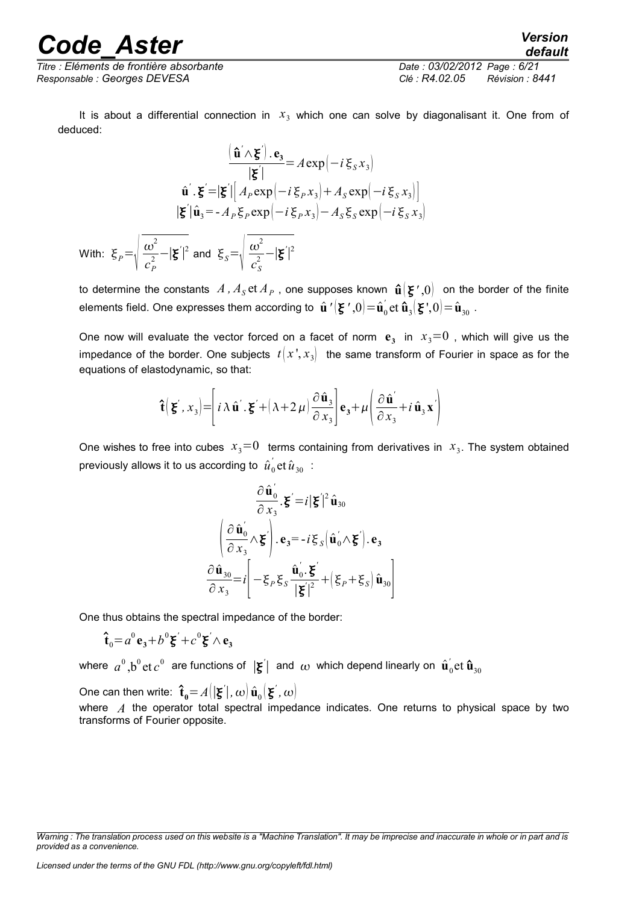*Titre : Eléments de frontière absorbante Date : 03/02/2012 Page : 6/21 Responsable : Georges DEVESA Clé : R4.02.05 Révision : 8441*

It is about a differential connection in  $x_3$  which one can solve by diagonalisant it. One from of deduced:

$$
\frac{(\hat{\mathbf{u}}' \wedge \mathbf{\xi}') \cdot \mathbf{e}_3}{|\mathbf{\xi}'|} = A \exp\left(-i \xi_s x_3\right)
$$
  

$$
\hat{\mathbf{u}}' \cdot \mathbf{\xi}' = |\mathbf{\xi}'| \left[A_P \exp\left(-i \xi_P x_3\right) + A_S \exp\left(-i \xi_S x_3\right)\right]
$$
  

$$
|\mathbf{\xi}'| \hat{\mathbf{u}}_3 = -A_P \xi_P \exp\left(-i \xi_P x_3\right) - A_S \xi_S \exp\left(-i \xi_S x_3\right)
$$
  
With: 
$$
\xi_P = \sqrt{\frac{\omega^2}{c_P^2} - |\mathbf{\xi}'|^2} \text{ and } \xi_S = \sqrt{\frac{\omega^2}{c_S^2} - |\mathbf{\xi}'|^2}
$$

to determine the constants  $A$  ,  $A_{S}$  et  $A_{P}$  , one supposes known  $\hat{\bm{\mathsf{u}}}(\bm{\xi}^{\,\prime\,},0)$  on the border of the finite elements field. One expresses them according to  $\hat{\textbf{u}}$  ' $\left(\textbf{\^{z}}$  ',0 $\right)\!=\!\hat{\textbf{u}}_0^{\prime}$  $\hat{\mathbf{u}}_3$ (**z**<sup>'</sup>,0)= $\hat{\mathbf{u}}_{30}$ .

One now will evaluate the vector forced on a facet of norm  $e_3$  in  $x_3=0$  , which will give us the impedance of the border. One subjects  $t \, | \, x^3, x^4$  the same transform of Fourier in space as for the equations of elastodynamic, so that:

$$
\hat{\mathbf{t}}\left(\mathbf{\xi}^{\prime},x_{3}\right)=\left[i\lambda\hat{\mathbf{u}}^{\prime}\cdot\mathbf{\xi}^{\prime}+\left(\lambda+2\,\mu\right)\frac{\partial\hat{\mathbf{u}}_{3}}{\partial x_{3}}\right]\mathbf{e}_{3}+\mu\left(\frac{\partial\hat{\mathbf{u}}^{\prime}}{\partial x_{3}}+i\,\hat{\mathbf{u}}_{3}\,\mathbf{x}^{\prime}\right)
$$

One wishes to free into cubes  $x_3=0$  terms containing from derivatives in  $x_3$ . The system obtained previously allows it to us according to  $\,{\hat u}_0^{\phantom{\dag}}\,$  $\hat{u}_{{\rm 30}}$  :

$$
\frac{\partial \hat{\mathbf{u}}_0'}{\partial x_3} \cdot \mathbf{\xi}' = i |\mathbf{\xi}'|^2 \hat{\mathbf{u}}_{30}
$$
\n
$$
\left( \frac{\partial \hat{\mathbf{u}}_0'}{\partial x_3} \wedge \mathbf{\xi}' \right) \cdot \mathbf{e}_3 = -i \xi_S \left( \hat{\mathbf{u}}_0' \wedge \mathbf{\xi}' \right) \cdot \mathbf{e}_3
$$
\n
$$
\frac{\partial \hat{\mathbf{u}}_{30}}{\partial x_3} = i \left[ -\xi_P \xi_S \frac{\hat{\mathbf{u}}_0' \cdot \mathbf{\xi}'}{|\mathbf{\xi}'|^2} + \left( \xi_P + \xi_S \right) \hat{\mathbf{u}}_{30} \right]
$$

One thus obtains the spectral impedance of the border:

$$
\mathbf{\hat{t}}_0 = a^0 \mathbf{e_3} + b^0 \mathbf{\xi}' + c^0 \mathbf{\xi}' \wedge \mathbf{e_3}
$$

where  $\,a^0\,,$ b $^0$ et $\,c^0\,$  are functions of  $\,|\boldsymbol{\xi}^{'}| \,$  and  $\,\omega \,$  which depend linearly on  $\,\hat{\boldsymbol{\mathsf{u}}}'_0$  $_{\rm 0}^{\rm '}$ et  $\mathbf{\hat{u}}_{\rm 30}$ 

One can then write:  $\mathbf{\hat{t}_0} = A(|\mathbf{\boldsymbol{\xi}}'|, \omega) \, \mathbf{\hat{u}_0}(\mathbf{\boldsymbol{\xi}}', \omega)$ 

where *A* the operator total spectral impedance indicates. One returns to physical space by two transforms of Fourier opposite.

*default*

*Warning : The translation process used on this website is a "Machine Translation". It may be imprecise and inaccurate in whole or in part and is provided as a convenience.*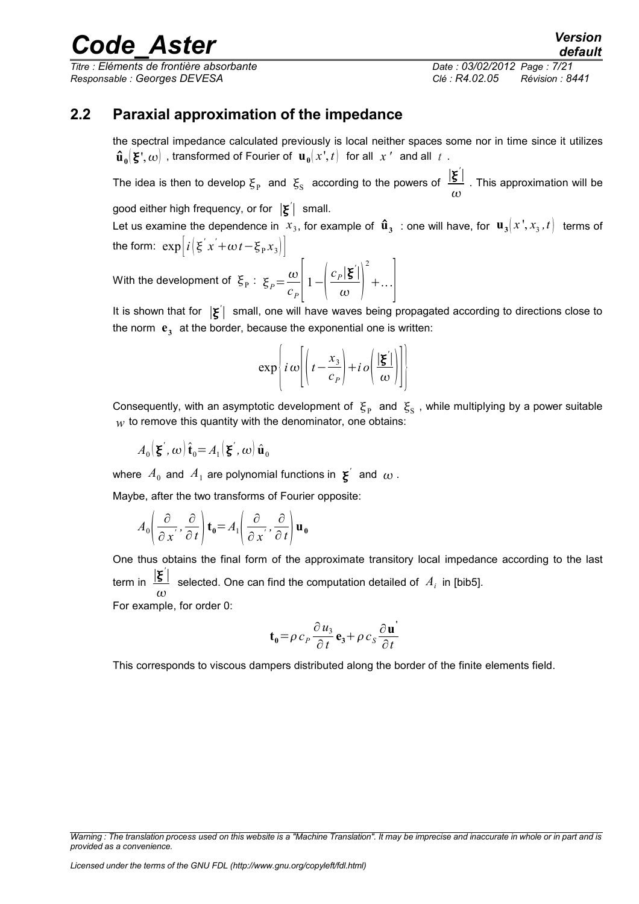*Titre : Eléments de frontière absorbante Date : 03/02/2012 Page : 7/21 Responsable : Georges DEVESA Clé : R4.02.05 Révision : 8441*

*default*

### **2.2 Paraxial approximation of the impedance**

<span id="page-6-0"></span>the spectral impedance calculated previously is local neither spaces some nor in time since it utilizes  $\mathbf{\hat{u}}_{\mathbf{0}}(\mathbf{\Sigma}', \mathbf{\omega})$  , transformed of Fourier of  $\mathbf{u}_{\mathbf{0}}(x^*,t)$  for all  $x$   $^{\prime}$  and all  $t$  .

The idea is then to develop  $\xi_{\rm p}$  and  $\xi_{\rm s}$  according to the powers of  $\frac{|\xi|}{|\xi|}$  $\omega$ . This approximation will be

good either high frequency, or for ∣ *'* ∣ small.

Let us examine the dependence in  $\ x_3$ , for example of  $\hat{\bf u}_3^-$  : one will have, for  $\,{\bf u}_3^{}[x^{'},x_3^{},t]\,$  terms of the form:  $\exp\left[i\left(\xi' x' + \omega t - \xi_p x_3\right)\right]$ 

With the development of  $\mathcal{E}_P$ :  $\mathcal{E}_P\!=\!\frac{\omega}{e}$  $\frac{\infty}{c_p}$   $1-\left(-\frac{\infty}{c_p}\right)$ *cP* ∣ *'* ∣  $\overline{\omega}$ 2  $+...$ 

It is shown that for  $|\xi'|$  small, one will have waves being propagated according to directions close to the norm  $e_3$  at the border, because the exponential one is written:

$$
\exp\left\{i\omega\left[\left(t-\frac{x_3}{c_p}\right)+i\omega\left(\frac{|\xi|}{\omega}\right)\right]\right\}
$$

Consequently, with an asymptotic development of  $|\xi_{\rm p}|$  and  $|\xi_{\rm S}|$ , while multiplying by a power suitable  $w$  to remove this quantity with the denominator, one obtains:

$$
A_0(\mathbf{\xi}',\omega)\,\hat{\mathbf{t}}_0 = A_1(\mathbf{\xi}',\omega)\,\hat{\mathbf{u}}_0
$$

where  $\,A_0\,$  and  $\,A_1\,$  are polynomial functions in  $\, {\bf g}^\prime\,$  and  $\, \omega$  .

Maybe, after the two transforms of Fourier opposite:

$$
A_0\left(\frac{\partial}{\partial x'}, \frac{\partial}{\partial t}\right) \mathbf{t}_0 = A_1\left(\frac{\partial}{\partial x'}, \frac{\partial}{\partial t}\right) \mathbf{u}_0
$$

One thus obtains the final form of the approximate transitory local impedance according to the last term in <u>│ξ<sup>ˈ</sup>│</u>  $\omega$ selected. One can find the computation detailed of  $A_i$  in [bib5]. For example, for order 0:

$$
\mathbf{t}_0 = \rho c_P \frac{\partial u_3}{\partial t} \mathbf{e}_3 + \rho c_S \frac{\partial \mathbf{u}'}{\partial t}
$$

This corresponds to viscous dampers distributed along the border of the finite elements field.

*Warning : The translation process used on this website is a "Machine Translation". It may be imprecise and inaccurate in whole or in part and is provided as a convenience.*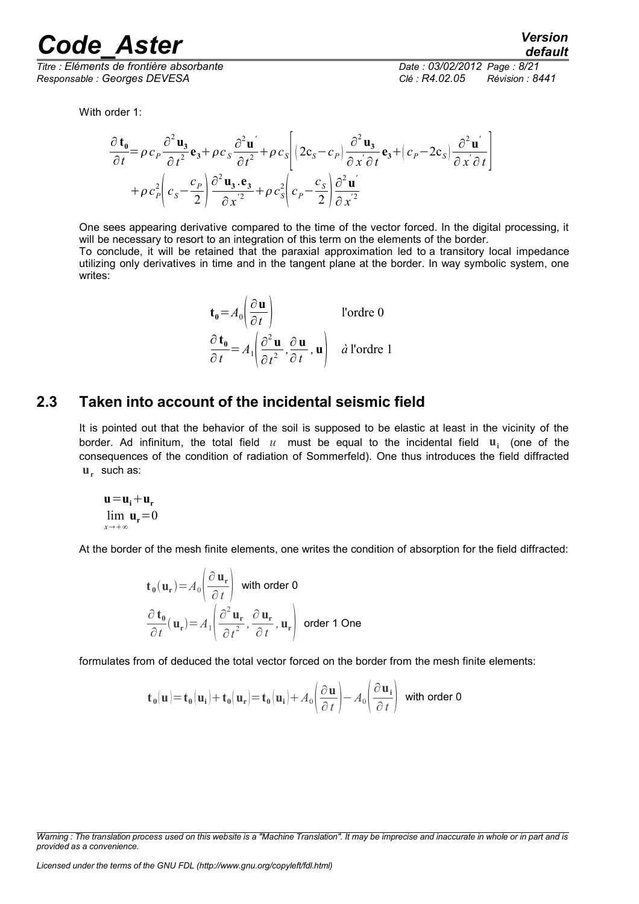*Responsable : Georges DEVESA Clé : R4.02.05 Révision : 8441*

*Titre : Eléments de frontière absorbante Date : 03/02/2012 Page : 8/21*

With order 1:

$$
\frac{\partial \mathbf{t}_0}{\partial t} = \rho c_p \frac{\partial^2 \mathbf{u}_3}{\partial t^2} \mathbf{e}_3 + \rho c_s \frac{\partial^2 \mathbf{u}'}{\partial t^2} + \rho c_s \left[ \left( 2c_s - c_p \right) \frac{\partial^2 \mathbf{u}_3}{\partial x \partial t} \mathbf{e}_3 + \left( c_p - 2c_s \right) \frac{\partial^2 \mathbf{u}'}{\partial x \partial t} \right] + \rho c_p^2 \left( c_s - \frac{c_p}{2} \right) \frac{\partial^2 \mathbf{u}_3}{\partial x^2} + \rho c_s^2 \left( c_p - \frac{c_s}{2} \right) \frac{\partial^2 \mathbf{u}'}{\partial x^2}
$$

One sees appearing derivative compared to the time of the vector forced. In the digital processing, it will be necessary to resort to an integration of this term on the elements of the border. To conclude, it will be retained that the paraxial approximation led to a transitory local impedance

utilizing only derivatives in time and in the tangent plane at the border. In way symbolic system, one writes:

$$
\mathbf{t_0} = A_0 \left( \frac{\partial \mathbf{u}}{\partial t} \right)
$$
l'ordre 0  

$$
\frac{\partial \mathbf{t_0}}{\partial t} = A_1 \left( \frac{\partial^2 \mathbf{u}}{\partial t^2}, \frac{\partial \mathbf{u}}{\partial t}, \mathbf{u} \right)
$$
 *à* l'ordre 1

### **2.3 Taken into account of the incidental seismic field**

<span id="page-7-0"></span>It is pointed out that the behavior of the soil is supposed to be elastic at least in the vicinity of the border. Ad infinitum, the total field  $u$  must be equal to the incidental field  $\mathbf{u}_i$  (one of the consequences of the condition of radiation of Sommerfeld). One thus introduces the field diffracted **ur** such as:

$$
\mathbf{u} = \mathbf{u}_i + \mathbf{u}_r
$$
  
 
$$
\lim_{x \to +\infty} \mathbf{u}_r = 0
$$

At the border of the mesh finite elements, one writes the condition of absorption for the field diffracted:

$$
\mathbf{t}_{0}(\mathbf{u}_{r}) = A_{0} \left( \frac{\partial \mathbf{u}_{r}}{\partial t} \right) \text{ with order 0}
$$

$$
\frac{\partial \mathbf{t}_{0}}{\partial t}(\mathbf{u}_{r}) = A_{1} \left( \frac{\partial^{2} \mathbf{u}_{r}}{\partial t^{2}}, \frac{\partial \mathbf{u}_{r}}{\partial t}, \mathbf{u}_{r} \right) \text{ order 1 One}
$$

formulates from of deduced the total vector forced on the border from the mesh finite elements:

$$
\mathbf{t}_0(\mathbf{u}) = \mathbf{t}_0(\mathbf{u_i}) + \mathbf{t}_0(\mathbf{u_r}) = \mathbf{t}_0(\mathbf{u_i}) + A_0 \left(\frac{\partial \mathbf{u}}{\partial t}\right) - A_0 \left(\frac{\partial \mathbf{u_i}}{\partial t}\right)
$$
 with order 0

*Licensed under the terms of the GNU FDL (http://www.gnu.org/copyleft/fdl.html)*

*Warning : The translation process used on this website is a "Machine Translation". It may be imprecise and inaccurate in whole or in part and is provided as a convenience.*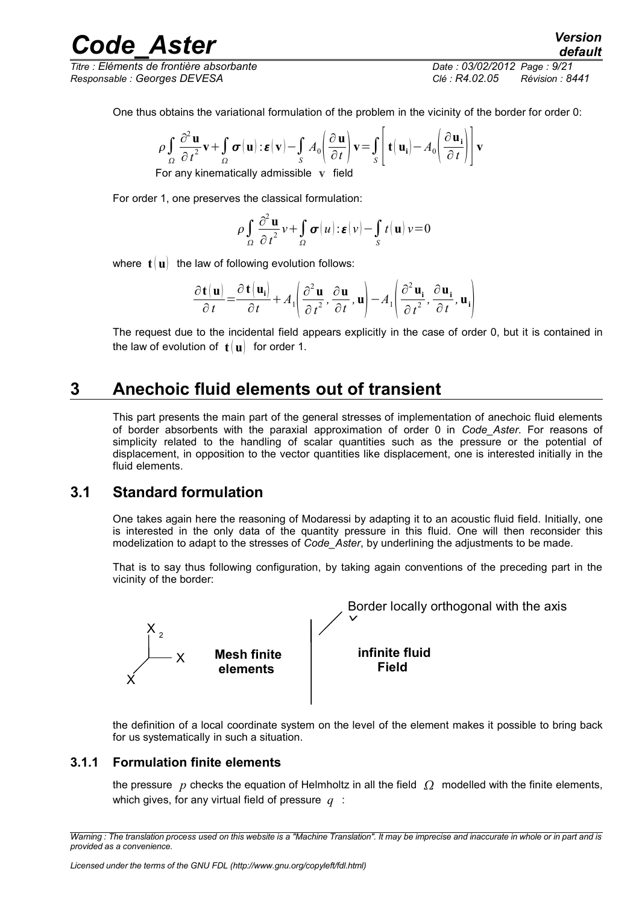*Code*<br>*Cléments de frontière absorbante*<br>*Cléments de frontière absorbante Titre : Eléments de frontière absorbante Date : 03/02/2012 Page : 9/21*

*Responsable : Georges DEVESA Clé : R4.02.05 Révision : 8441*

$$
\rho \int_{\Omega} \frac{\partial^2 \mathbf{u}}{\partial t^2} \mathbf{v} + \int_{\Omega} \boldsymbol{\sigma}(\mathbf{u}) : \boldsymbol{\varepsilon}(\mathbf{v}) - \int_{S} A_0 \left( \frac{\partial \mathbf{u}}{\partial t} \right) \mathbf{v} = \int_{S} \left[ \mathbf{t}(\mathbf{u}_i) - A_0 \left( \frac{\partial \mathbf{u}_i}{\partial t} \right) \right] \mathbf{v}
$$

For any kinematically admissible **v** field

For order 1, one preserves the classical formulation:

$$
\rho \int_{\Omega} \frac{\partial^2 \mathbf{u}}{\partial t^2} v + \int_{\Omega} \boldsymbol{\sigma}(u) \cdot \boldsymbol{\varepsilon}(v) - \int_{S} t(\mathbf{u}) v = 0
$$

where  $\mathbf{t} \cdot \mathbf{u}$  the law of following evolution follows:

$$
\frac{\partial \mathbf{t}(\mathbf{u})}{\partial t} = \frac{\partial \mathbf{t}(\mathbf{u_i})}{\partial t} + A_1 \left( \frac{\partial^2 \mathbf{u}}{\partial t^2}, \frac{\partial \mathbf{u}}{\partial t}, \mathbf{u} \right) - A_1 \left( \frac{\partial^2 \mathbf{u_i}}{\partial t^2}, \frac{\partial \mathbf{u_i}}{\partial t}, \mathbf{u_i} \right)
$$

The request due to the incidental field appears explicitly in the case of order 0, but it is contained in the law of evolution of  $t(u)$  for order 1.

### **3 Anechoic fluid elements out of transient**

<span id="page-8-2"></span>This part presents the main part of the general stresses of implementation of anechoic fluid elements of border absorbents with the paraxial approximation of order 0 in *Code\_Aster*. For reasons of simplicity related to the handling of scalar quantities such as the pressure or the potential of displacement, in opposition to the vector quantities like displacement, one is interested initially in the fluid elements.

#### **3.1 Standard formulation**

<span id="page-8-1"></span>One takes again here the reasoning of Modaressi by adapting it to an acoustic fluid field. Initially, one is interested in the only data of the quantity pressure in this fluid. One will then reconsider this modelization to adapt to the stresses of *Code\_Aster*, by underlining the adjustments to be made.

That is to say thus following configuration, by taking again conventions of the preceding part in the vicinity of the border:



the definition of a local coordinate system on the level of the element makes it possible to bring back for us systematically in such a situation.

#### **3.1.1 Formulation finite elements**

<span id="page-8-0"></span>the pressure  $p$  checks the equation of Helmholtz in all the field  $\Omega$  modelled with the finite elements, which gives, for any virtual field of pressure *q* :

*Warning : The translation process used on this website is a "Machine Translation". It may be imprecise and inaccurate in whole or in part and is provided as a convenience.*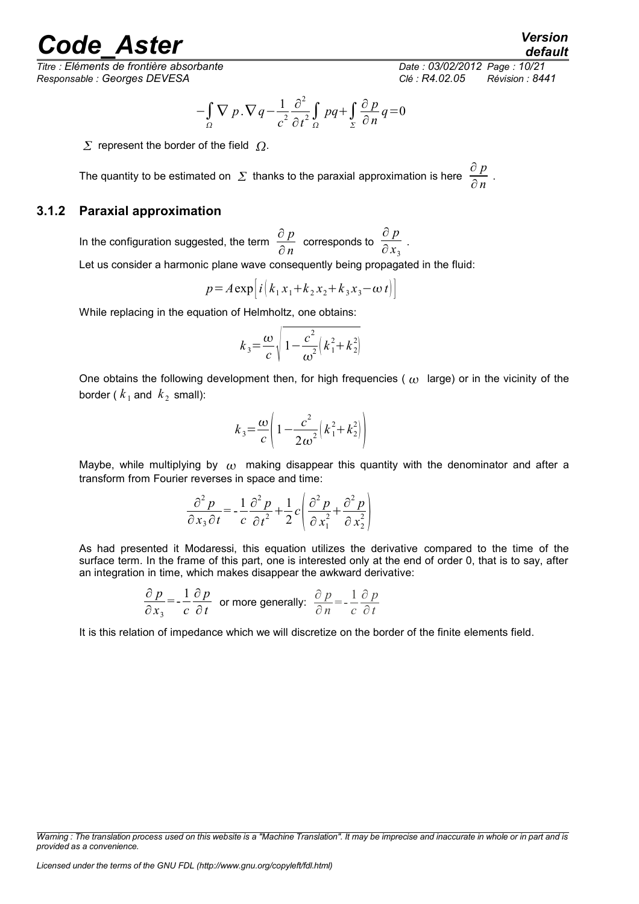*Titre : Eléments de frontière absorbante Date : 03/02/2012 Page : 10/21 Responsable : Georges DEVESA Clé : R4.02.05 Révision : 8441*

*default*

$$
-\int_{\Omega} \nabla p \cdot \nabla q - \frac{1}{c^2} \frac{\partial^2}{\partial t^2} \int_{\Omega} p q + \int_{\Sigma} \frac{\partial p}{\partial n} q = 0
$$

 $\Sigma$  represent the border of the field  $\Omega$ .

The quantity to be estimated on  $\Sigma$  thanks to the paraxial approximation is here ∂ *p*  $rac{\sigma P}{\partial n}$ .

#### **3.1.2 Paraxial approximation**

<span id="page-9-0"></span>In the configuration suggested, the term  $\frac{\partial p}{\partial x}$  $\frac{\partial \; p}{\partial \; n} \;$  corresponds to  $\; \frac{\partial \; p}{\partial \, x_3} \;$  $\frac{1}{\partial x_3}$ .

Let us consider a harmonic plane wave consequently being propagated in the fluid:

$$
p = A \exp [i (k_1 x_1 + k_2 x_2 + k_3 x_3 - \omega t)]
$$

While replacing in the equation of Helmholtz, one obtains:

$$
k_3 = \frac{\omega}{c} \sqrt{1 - \frac{c^2}{\omega^2} \left(k_1^2 + k_2^2\right)}
$$

One obtains the following development then, for high frequencies ( $\omega$ ) large) or in the vicinity of the border ( $k_1$  and  $k_2$  small):

$$
k_3 = \frac{\omega}{c} \left( 1 - \frac{c^2}{2\omega^2} \left( k_1^2 + k_2^2 \right) \right)
$$

Maybe, while multiplying by  $\omega$  making disappear this quantity with the denominator and after a transform from Fourier reverses in space and time:

$$
\frac{\partial^2 p}{\partial x_3 \partial t} = -\frac{1}{c} \frac{\partial^2 p}{\partial t^2} + \frac{1}{2} c \left( \frac{\partial^2 p}{\partial x_1^2} + \frac{\partial^2 p}{\partial x_2^2} \right)
$$

As had presented it Modaressi, this equation utilizes the derivative compared to the time of the surface term. In the frame of this part, one is interested only at the end of order 0, that is to say, after an integration in time, which makes disappear the awkward derivative:

$$
\frac{\partial p}{\partial x_3} = -\frac{1}{c} \frac{\partial p}{\partial t}
$$
 or more generally:  $\frac{\partial p}{\partial n} = -\frac{1}{c} \frac{\partial p}{\partial t}$ 

It is this relation of impedance which we will discretize on the border of the finite elements field.

*Warning : The translation process used on this website is a "Machine Translation". It may be imprecise and inaccurate in whole or in part and is provided as a convenience.*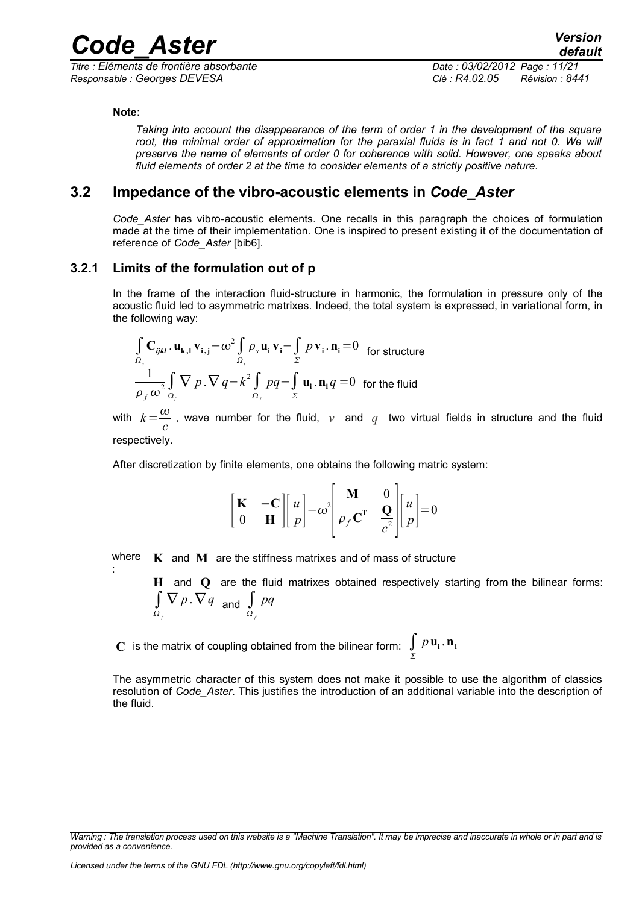*Titre : Eléments de frontière absorbante Date : 03/02/2012 Page : 11/21 Responsable : Georges DEVESA Clé : R4.02.05 Révision : 8441*

#### **Note:**

:

*Taking into account the disappearance of the term of order 1 in the development of the square root, the minimal order of approximation for the paraxial fluids is in fact 1 and not 0. We will preserve the name of elements of order 0 for coherence with solid. However, one speaks about fluid elements of order 2 at the time to consider elements of a strictly positive nature.*

### **3.2 Impedance of the vibro-acoustic elements in** *Code\_Aster*

<span id="page-10-1"></span>*Code\_Aster* has vibro-acoustic elements. One recalls in this paragraph the choices of formulation made at the time of their implementation. One is inspired to present existing it of the documentation of reference of *Code\_Aster* [bib6].

#### **3.2.1 Limits of the formulation out of p**

<span id="page-10-0"></span>In the frame of the interaction fluid-structure in harmonic, the formulation in pressure only of the acoustic fluid led to asymmetric matrixes. Indeed, the total system is expressed, in variational form, in the following way:

$$
\int_{\Omega_s} \mathbf{C}_{ijkl} \cdot \mathbf{u}_{k,l} \mathbf{v}_{i,j} - \omega^2 \int_{\Omega_s} \rho_s \mathbf{u}_i \mathbf{v}_i - \int_{\Sigma} p \mathbf{v}_i \cdot \mathbf{n}_i = 0 \text{ for structure}
$$
  

$$
\frac{1}{\rho_f \omega^2} \int_{\Omega_f} \nabla p \cdot \nabla q - k^2 \int_{\Omega_f} pq - \int_{\Sigma} \mathbf{u}_i \cdot \mathbf{n}_i q = 0 \text{ for the fluid}
$$

with  $k=\frac{\omega}{\sqrt{2}}$  $\frac{\infty}{c}$ , wave number for the fluid,  $v$  and  $q$  two virtual fields in structure and the fluid respectively.

After discretization by finite elements, one obtains the following matric system:

$$
\begin{bmatrix} \mathbf{K} & -\mathbf{C} \\ 0 & \mathbf{H} \end{bmatrix} \begin{bmatrix} u \\ p \end{bmatrix} - \omega^2 \begin{bmatrix} \mathbf{M} & 0 \\ \rho_f \mathbf{C}^T & \frac{\mathbf{Q}}{c^2} \end{bmatrix} \begin{bmatrix} u \\ p \end{bmatrix} = 0
$$

where  $\boldsymbol{K}$  and  $\boldsymbol{M}$  are the stiffness matrixes and of mass of structure

**H** and **Q** are the fluid matrixes obtained respectively starting from the bilinear forms:  $\int \nabla p \cdot \nabla q$  and  $\int pq$  *f f*

 $\mathbf C$  is the matrix of coupling obtained from the bilinear form:  $\int\limits_{\Sigma}$  $p$ **u**<sub>i</sub>.**n**<sub>i</sub>

The asymmetric character of this system does not make it possible to use the algorithm of classics resolution of *Code\_Aster*. This justifies the introduction of an additional variable into the description of the fluid.

*Warning : The translation process used on this website is a "Machine Translation". It may be imprecise and inaccurate in whole or in part and is provided as a convenience.*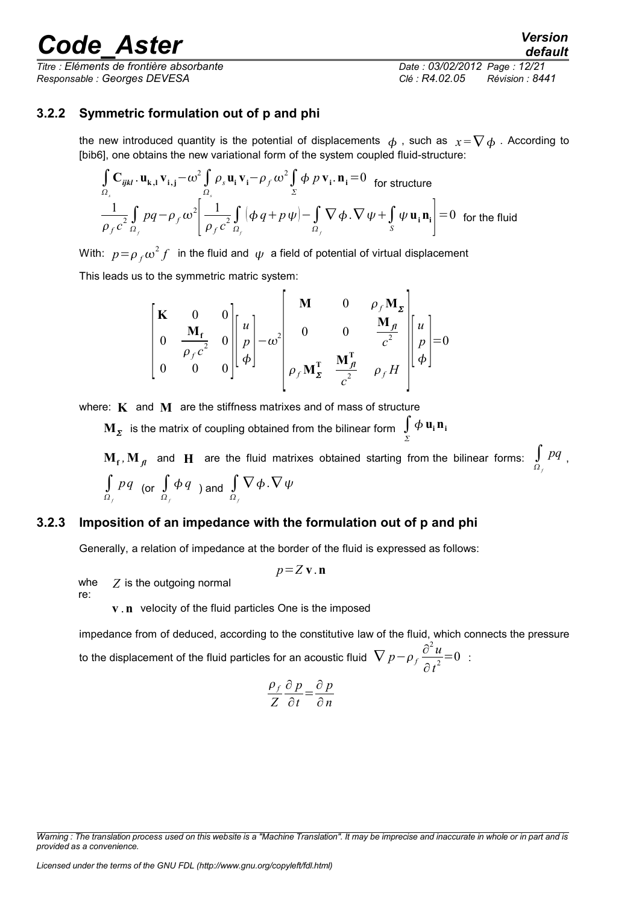*Titre : Eléments de frontière absorbante Date : 03/02/2012 Page : 12/21 Responsable : Georges DEVESA Clé : R4.02.05 Révision : 8441*

*default*

#### **3.2.2 Symmetric formulation out of p and phi**

<span id="page-11-1"></span>the new introduced quantity is the potential of displacements  $\phi$ , such as  $x = \nabla \phi$ . According to [bib6], one obtains the new variational form of the system coupled fluid-structure:

$$
\int_{\Omega_s} \mathbf{C}_{ijkl} \cdot \mathbf{u}_{k,l} \mathbf{v}_{i,j} - \omega^2 \int_{\Omega_s} \rho_s \mathbf{u}_i \mathbf{v}_i - \rho_f \omega^2 \int_{\Sigma} \phi \, p \, \mathbf{v}_i \cdot \mathbf{n}_i = 0 \quad \text{for structure}
$$
\n
$$
\frac{1}{\rho_f c^2} \int_{\Omega_f} pq - \rho_f \omega^2 \left[ \frac{1}{\rho_f c^2} \int_{\Omega_f} (\phi \, q + p \, \psi) - \int_{\Omega_f} \nabla \phi \cdot \nabla \, \psi + \int_{S} \psi \, \mathbf{u}_i \, \mathbf{n}_i \right] = 0 \quad \text{for the fluid}
$$

With:  $p\!=\!\rho_{\scriptscriptstyle f} \omega^2 f\;$  in the fluid and  $\,\psi\,$  a field of potential of virtual displacement

This leads us to the symmetric matric system:

$$
\begin{bmatrix}\n\mathbf{K} & 0 & 0 \\
0 & \frac{\mathbf{M}_{\mathrm{f}}}{\rho_{\mathrm{f}}c^2} & 0 \\
0 & 0 & 0\n\end{bmatrix}\n\begin{bmatrix}\nu \\ p \\ \phi \end{bmatrix} - \omega^2\n\begin{bmatrix}\n\mathbf{M} & 0 & \rho_{\mathrm{f}}\mathbf{M}_{\mathrm{z}} \\
0 & 0 & \frac{\mathbf{M}_{\mathrm{f}}}{c^2} \\
\rho_{\mathrm{f}}\mathbf{M}_{\mathrm{z}}^{\mathrm{T}} & \frac{\mathbf{M}_{\mathrm{f}}^{\mathrm{T}}}{c^2} & \rho_{\mathrm{f}}H\n\end{bmatrix}\n\begin{bmatrix}\nu \\ p \\ \phi \end{bmatrix} = 0
$$

where: **K** and **M** are the stiffness matrixes and of mass of structure

 $\mathbf{M}_{\mathcal{\Sigma}}$  is the matrix of coupling obtained from the bilinear form  $\int\limits_{\Sigma}$  $\phi$  **u**<sub>i</sub> **n**<sub>i</sub>

 $\mathbf{M_f}$ ,  $\mathbf{M_{\hat{fl}}}$  and  $\mathbf{H}$  are the fluid matrixes obtained starting from the bilinear forms:  $\int\limits_{\Omega_f}$ *pq* , ∫ *f pq* (or ∫ *f*  $\phi$ <sup>*q*</sup> ) and  $\int$  *f*  $\nabla\phi$  .  $\nabla\psi$ 

#### **3.2.3 Imposition of an impedance with the formulation out of p and phi**

<span id="page-11-0"></span>Generally, a relation of impedance at the border of the fluid is expressed as follows:

*p*=*Z* **v**.**n**

whe re: *Z* is the outgoing normal

**v n** velocity of the fluid particles One is the imposed

impedance from of deduced, according to the constitutive law of the fluid, which connects the pressure to the displacement of the fluid particles for an acoustic fluid  $\ \nabla \, p - \rho_{f} \frac{\partial^2 u}{\partial x^2}$  $\frac{\partial u}{\partial t^2} = 0$  :

$$
\frac{\rho_f}{Z} \frac{\partial p}{\partial t} = \frac{\partial p}{\partial n}
$$

*Warning : The translation process used on this website is a "Machine Translation". It may be imprecise and inaccurate in whole or in part and is provided as a convenience.*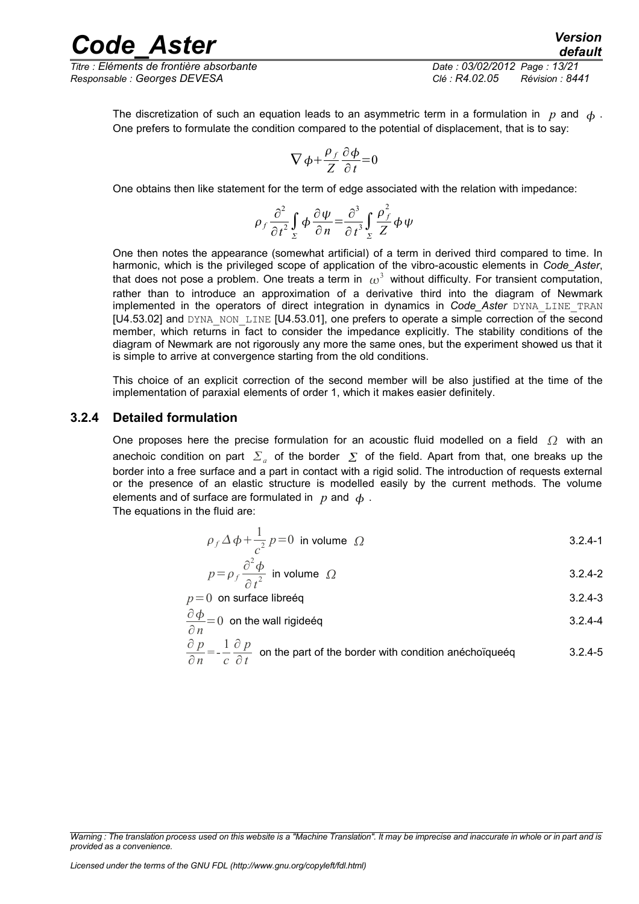*Titre : Eléments de frontière absorbante Date : 03/02/2012 Page : 13/21 Responsable : Georges DEVESA Clé : R4.02.05 Révision : 8441*

*default*

The discretization of such an equation leads to an asymmetric term in a formulation in  $p$  and  $\phi$ . One prefers to formulate the condition compared to the potential of displacement, that is to say:

$$
\nabla \phi + \frac{\rho_f}{Z} \frac{\partial \phi}{\partial t} = 0
$$

One obtains then like statement for the term of edge associated with the relation with impedance:

$$
\rho_f \frac{\partial^2}{\partial t^2} \int\limits_{\Sigma} \phi \frac{\partial \psi}{\partial n} = \frac{\partial^3}{\partial t^3} \int\limits_{\Sigma} \frac{\rho_f^2}{Z} \phi \psi
$$

One then notes the appearance (somewhat artificial) of a term in derived third compared to time. In harmonic, which is the privileged scope of application of the vibro-acoustic elements in *Code\_Aster*, that does not pose a problem. One treats a term in  $\,\omega^3\,$  without difficulty. For transient computation, rather than to introduce an approximation of a derivative third into the diagram of Newmark implemented in the operators of direct integration in dynamics in *Code\_Aster* DYNA\_LINE\_TRAN  $[U4.53.02]$  and DYNA\_NON\_LINE  $[U4.53.01]$ , one prefers to operate a simple correction of the second member, which returns in fact to consider the impedance explicitly. The stability conditions of the diagram of Newmark are not rigorously any more the same ones, but the experiment showed us that it is simple to arrive at convergence starting from the old conditions.

This choice of an explicit correction of the second member will be also justified at the time of the implementation of paraxial elements of order 1, which it makes easier definitely.

#### **3.2.4 Detailed formulation**

<span id="page-12-0"></span>One proposes here the precise formulation for an acoustic fluid modelled on a field  $\Omega$  with an anechoic condition on part  $|\Sigma_a|$  of the border  $|\Sigma|$  of the field. Apart from that, one breaks up the border into a free surface and a part in contact with a rigid solid. The introduction of requests external or the presence of an elastic structure is modelled easily by the current methods. The volume elements and of surface are formulated in  $p$  and  $\phi$ .

The equations in the fluid are:

$$
\rho_f \Delta \phi + \frac{1}{c^2} p = 0 \text{ in volume } \Omega
$$
 3.2.4-1

$$
p = \rho_f \frac{\partial^2 \phi}{\partial t^2}
$$
 in volume  $\Omega$  3.2.4-2

 $p=0$  on surface libreéq  $3.2.4-3$ 

$$
\frac{\partial \phi}{\partial n} = 0
$$
 on the wall rigideéq

$$
\frac{\partial p}{\partial n} = -\frac{1}{c} \frac{\partial p}{\partial t}
$$
 on the part of the border with condition anéchoïqueég 3.2.4-5

*Warning : The translation process used on this website is a "Machine Translation". It may be imprecise and inaccurate in whole or in part and is provided as a convenience.*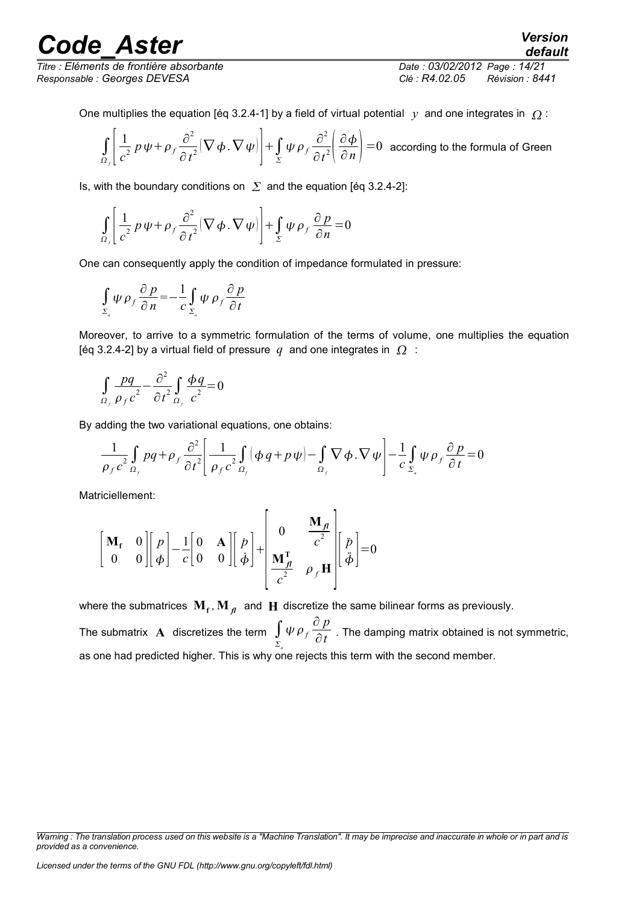*Titre : Eléments de frontière absorbante Date : 03/02/2012 Page : 14/21 Responsable : Georges DEVESA Clé : R4.02.05 Révision : 8441*

*default*

One multiplies the equation [éq 3.2.4-1] by a field of virtual potential  $y$  and one integrates in  $\Omega$ :

$$
\int_{\Omega_f} \left[ \frac{1}{c^2} p \psi + \rho_f \frac{\partial^2}{\partial t^2} (\nabla \phi \cdot \nabla \psi) \right] + \int_{\Sigma} \psi \rho_f \frac{\partial^2}{\partial t^2} \left( \frac{\partial \phi}{\partial n} \right) = 0
$$
 according to the formula of Green

Is, with the boundary conditions on  $\Sigma$  and the equation [éq 3.2.4-2]:

$$
\int_{\Omega_f} \left[ \frac{1}{c^2} p \psi + \rho_f \frac{\partial^2}{\partial t^2} (\nabla \phi \cdot \nabla \psi) \right] + \int_{\Sigma} \psi \rho_f \frac{\partial p}{\partial n} = 0
$$

One can consequently apply the condition of impedance formulated in pressure:

$$
\int_{\Sigma_a} \psi \rho_f \frac{\partial p}{\partial n} = -\frac{1}{c} \int_{\Sigma_a} \psi \rho_f \frac{\partial p}{\partial t}
$$

Moreover, to arrive to a symmetric formulation of the terms of volume, one multiplies the equation [éq 3.2.4-2] by a virtual field of pressure  $q$  and one integrates in  $\Omega$ :

$$
\int_{\Omega_f} \frac{pq}{\rho_f c^2} - \frac{\partial^2}{\partial t^2} \int_{\Omega_f} \frac{\phi q}{c^2} = 0
$$

By adding the two variational equations, one obtains:

$$
\frac{1}{\rho_f c^2} \int_{\Omega_f} p q + \rho_f \frac{\partial^2}{\partial t^2} \left[ \frac{1}{\rho_f c^2} \int_{\Omega_f} (\phi q + p \psi) - \int_{\Omega_f} \nabla \phi \cdot \nabla \psi \right] - \frac{1}{c} \int_{\Sigma_a} \psi \rho_f \frac{\partial p}{\partial t} = 0
$$

Matriciellement:

$$
\begin{bmatrix} \mathbf{M}_{\mathbf{f}} & 0 \\ 0 & 0 \end{bmatrix} \begin{bmatrix} p \\ \phi \end{bmatrix} - \frac{1}{c} \begin{bmatrix} 0 & \mathbf{A} \\ 0 & 0 \end{bmatrix} \begin{bmatrix} p \\ \dot{\phi} \end{bmatrix} + \begin{bmatrix} 0 & \frac{\mathbf{M}_{\mathbf{f}}}{c^{2}} \\ \frac{\mathbf{M}_{\mathbf{f}}^{\mathbf{T}}}{c^{2}} & \rho_{f} \mathbf{H} \end{bmatrix} \begin{bmatrix} \ddot{p} \\ \ddot{\phi} \end{bmatrix} = 0
$$

where the submatrices  $\mathbf{M_f}$  ,  $\mathbf{M_{\textit{fl}}}$  and  $\mathbf{H}$  discretize the same bilinear forms as previously. The submatrix  $\mathbf A$  discretizes the term  $\int$  $\sum_{a}$  $\psi \rho_f \frac{\partial p}{\partial t}$ ∂*t* . The damping matrix obtained is not symmetric, as one had predicted higher. This is why one rejects this term with the second member.

*Warning : The translation process used on this website is a "Machine Translation". It may be imprecise and inaccurate in whole or in part and is provided as a convenience.*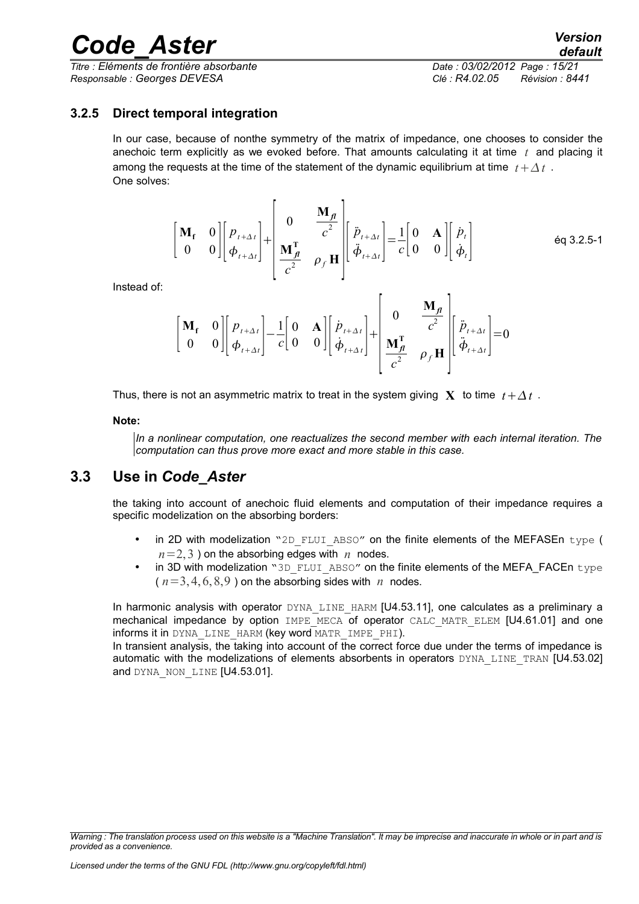*Titre : Eléments de frontière absorbante Date : 03/02/2012 Page : 15/21 Responsable : Georges DEVESA Clé : R4.02.05 Révision : 8441*

#### **3.2.5 Direct temporal integration**

<span id="page-14-1"></span>In our case, because of nonthe symmetry of the matrix of impedance, one chooses to consider the anechoic term explicitly as we evoked before. That amounts calculating it at time *t* and placing it among the requests at the time of the statement of the dynamic equilibrium at time  $t + \Delta t$ . One solves:

$$
\begin{bmatrix} \mathbf{M}_{\mathbf{f}} & 0 \\ 0 & 0 \end{bmatrix} \begin{bmatrix} p_{t+\Delta t} \\ \phi_{t+\Delta t} \end{bmatrix} + \begin{bmatrix} 0 & \frac{\mathbf{M}_{\mathbf{f}}}{c^2} \\ \frac{\mathbf{M}_{\mathbf{f}}^{\mathrm{T}}}{c^2} & \rho_{\mathbf{f}} \mathbf{H} \end{bmatrix} \begin{bmatrix} \ddot{p}_{t+\Delta t} \\ \ddot{\phi}_{t+\Delta t} \end{bmatrix} = \frac{1}{c} \begin{bmatrix} 0 & \mathbf{A} \\ 0 & 0 \end{bmatrix} \begin{bmatrix} \dot{p}_t \\ \dot{\phi}_t \end{bmatrix} \tag{6q 3.2.5-1}
$$

Instead of:

$$
\begin{bmatrix} \mathbf{M}_{\mathbf{f}} & 0 \\ 0 & 0 \end{bmatrix} \begin{bmatrix} p_{t+\Delta t} \\ \phi_{t+\Delta t} \end{bmatrix} - \frac{1}{c} \begin{bmatrix} 0 & \mathbf{A} \\ 0 & 0 \end{bmatrix} \begin{bmatrix} \dot{p}_{t+\Delta t} \\ \dot{\phi}_{t+\Delta t} \end{bmatrix} + \begin{bmatrix} 0 & \frac{\mathbf{M}_{\mathbf{f}}}{c^2} \\ \frac{\mathbf{M}_{\mathbf{f}}^{\mathbf{T}}}{c^2} & \rho_f \mathbf{H} \end{bmatrix} \begin{bmatrix} \ddot{p}_{t+\Delta t} \\ \ddot{\phi}_{t+\Delta t} \end{bmatrix} = 0
$$

Thus, there is not an asymmetric matrix to treat in the system giving **X** to time  $t + \Delta t$ .

#### **Note:**

*In a nonlinear computation, one reactualizes the second member with each internal iteration. The computation can thus prove more exact and more stable in this case.*

### **3.3 Use in** *Code\_Aster*

<span id="page-14-0"></span>the taking into account of anechoic fluid elements and computation of their impedance requires a specific modelization on the absorbing borders:

- in 2D with modelization "2D\_FLUI\_ABSO" on the finite elements of the MEFASEn type (  $n=2,3$  ) on the absorbing edges with *n* nodes.
- in 3D with modelization "3D\_FLUI\_ABSO" on the finite elements of the MEFA\_FACEn type  $(n=3, 4, 6, 8, 9)$  on the absorbing sides with *n* nodes.

In harmonic analysis with operator DYNA LINE HARM [U4.53.11], one calculates as a preliminary a mechanical impedance by option IMPE MECA of operator CALC MATR ELEM [U4.61.01] and one informs it in DYNA\_LINE\_HARM (key word MATR\_IMPE\_PHI).

In transient analysis, the taking into account of the correct force due under the terms of impedance is automatic with the modelizations of elements absorbents in operators DYNA LINE TRAN [U4.53.02] and DYNA NON LINE [U4.53.01].

*Warning : The translation process used on this website is a "Machine Translation". It may be imprecise and inaccurate in whole or in part and is provided as a convenience.*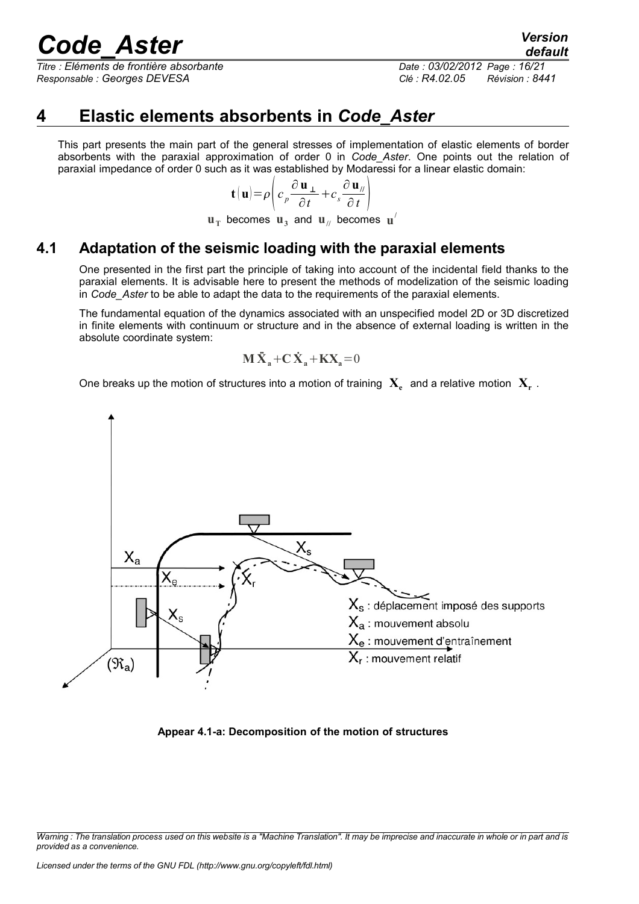*Titre : Eléments de frontière absorbante Date : 03/02/2012 Page : 16/21 Responsable : Georges DEVESA Clé : R4.02.05 Révision : 8441*

*default*

### **4 Elastic elements absorbents in** *Code\_Aster*

<span id="page-15-1"></span>This part presents the main part of the general stresses of implementation of elastic elements of border absorbents with the paraxial approximation of order 0 in *Code\_Aster*. One points out the relation of paraxial impedance of order 0 such as it was established by Modaressi for a linear elastic domain:

$$
\mathbf{t}(\mathbf{u}) = \rho \left( c_p \frac{\partial \mathbf{u}_{\perp}}{\partial t} + c_s \frac{\partial \mathbf{u}_{\parallel}}{\partial t} \right)
$$

 $\mathbf{u}_\text{T}$  becomes  $\mathbf{u}_3$  and  $\mathbf{u}_{\text{II}}$  becomes  $\mathbf{u}^\text{I}$ 

### **4.1 Adaptation of the seismic loading with the paraxial elements**

<span id="page-15-0"></span>One presented in the first part the principle of taking into account of the incidental field thanks to the paraxial elements. It is advisable here to present the methods of modelization of the seismic loading in *Code\_Aster* to be able to adapt the data to the requirements of the paraxial elements.

The fundamental equation of the dynamics associated with an unspecified model 2D or 3D discretized in finite elements with continuum or structure and in the absence of external loading is written in the absolute coordinate system:

$$
\mathbf{M}\ddot{\mathbf{X}}_{a} + \mathbf{C}\dot{\mathbf{X}}_{a} + \mathbf{K}\mathbf{X}_{a} = 0
$$

One breaks up the motion of structures into a motion of training  $\mathbf{X}_{\epsilon}^{\cdot}$  and a relative motion  $\mathbf{X}_{\mathbf{r}}^{\cdot}$  .



**Appear 4.1-a: Decomposition of the motion of structures**

*Warning : The translation process used on this website is a "Machine Translation". It may be imprecise and inaccurate in whole or in part and is provided as a convenience.*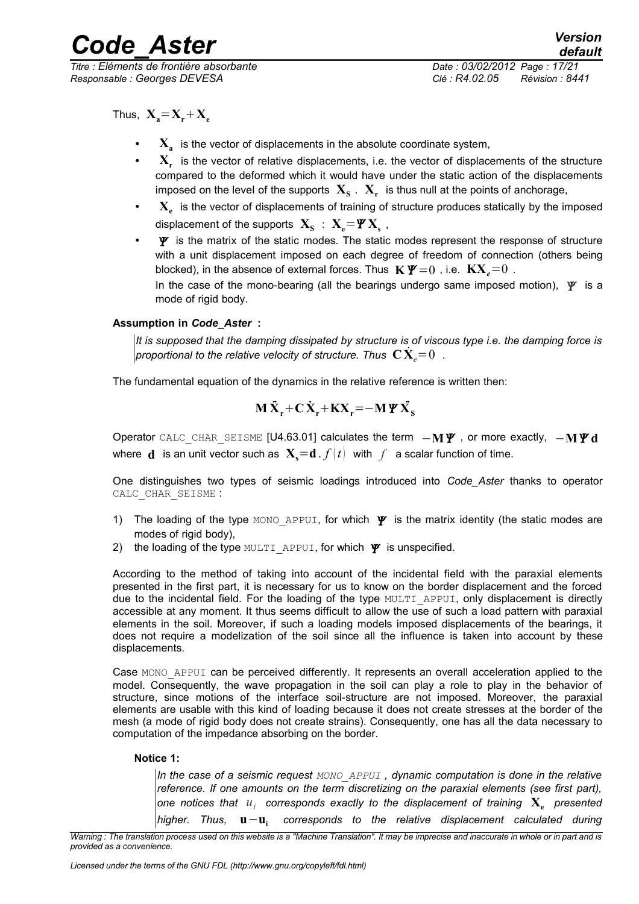*Titre : Eléments de frontière absorbante Date : 03/02/2012 Page : 17/21 Responsable : Georges DEVESA Clé : R4.02.05 Révision : 8441*

Thus,  $X_e = X_e + X_e$ 

- X<sub>a</sub> is the vector of displacements in the absolute coordinate system,
- **X<sup>r</sup>** is the vector of relative displacements, i.e. the vector of displacements of the structure compared to the deformed which it would have under the static action of the displacements imposed on the level of the supports  $\mathbf{X}_{\mathbf{s}}$  .  $\mathbf{X}_{\mathbf{r}}$  is thus null at the points of anchorage,
- **X<sup>e</sup>** is the vector of displacements of training of structure produces statically by the imposed displacement of the supports  $\mathbf{X}_{\mathbf{S}}$  :  $\mathbf{X}_{\mathbf{e}}$   $=$   $\mathbf{\Psi}\mathbf{X}_{\mathbf{s}}$  ,
- $\mathbf{\Psi}$  is the matrix of the static modes. The static modes represent the response of structure with a unit displacement imposed on each degree of freedom of connection (others being blocked), in the absence of external forces. Thus  $\mathbf{K}\mathbf{\Psi}=0$ , i.e.  $\mathbf{K}\mathbf{X}_{a}=0$ . In the case of the mono-bearing (all the bearings undergo same imposed motion),  $\Psi$  is a

mode of rigid body.

#### **Assumption in** *Code\_Aster* **:**

*It is supposed that the damping dissipated by structure is of viscous type i.e. the damping force is proportional to the relative velocity of structure. Thus*  $\,\mathbf{C}\,\mathbf{X}_e\!=\!0\,$  *.* 

The fundamental equation of the dynamics in the relative reference is written then:

$$
M\ddot{X}_r + C\dot{X}_r + KX_r = -M\Psi\ddot{X}_s
$$

Operator CALC\_CHAR\_SEISME [U4.63.01] calculates the term  $-M\Psi$ , or more exactly,  $-M\Psi d$ where **d** is an unit vector such as  $X<sub>s</sub>=d$ .  $f(t)$  with  $f$  a scalar function of time.

One distinguishes two types of seismic loadings introduced into *Code\_Aster* thanks to operator CALC\_CHAR\_SEISME :

- 1) The loading of the type MONO APPUI, for which  $\Psi$  is the matrix identity (the static modes are modes of rigid body),
- 2) the loading of the type MULTI APPUI, for which  $\Psi$  is unspecified.

According to the method of taking into account of the incidental field with the paraxial elements presented in the first part, it is necessary for us to know on the border displacement and the forced due to the incidental field. For the loading of the type MULTI\_APPUI, only displacement is directly accessible at any moment. It thus seems difficult to allow the use of such a load pattern with paraxial elements in the soil. Moreover, if such a loading models imposed displacements of the bearings, it does not require a modelization of the soil since all the influence is taken into account by these displacements.

Case MONO APPUI can be perceived differently. It represents an overall acceleration applied to the model. Consequently, the wave propagation in the soil can play a role to play in the behavior of structure, since motions of the interface soil-structure are not imposed. Moreover, the paraxial elements are usable with this kind of loading because it does not create stresses at the border of the mesh (a mode of rigid body does not create strains). Consequently, one has all the data necessary to computation of the impedance absorbing on the border.

#### **Notice 1:**

*In the case of a seismic request MONO\_APPUI , dynamic computation is done in the relative reference. If one amounts on the term discretizing on the paraxial elements (see first part),* one notices that  $u_i$  corresponds exactly to the displacement of training  $\mathbf{X}_{\mathbf{e}}$  presented *higher. Thus,* **u**−**u<sup>i</sup>**  *corresponds to the relative displacement calculated during*

*Warning : The translation process used on this website is a "Machine Translation". It may be imprecise and inaccurate in whole or in part and is provided as a convenience.*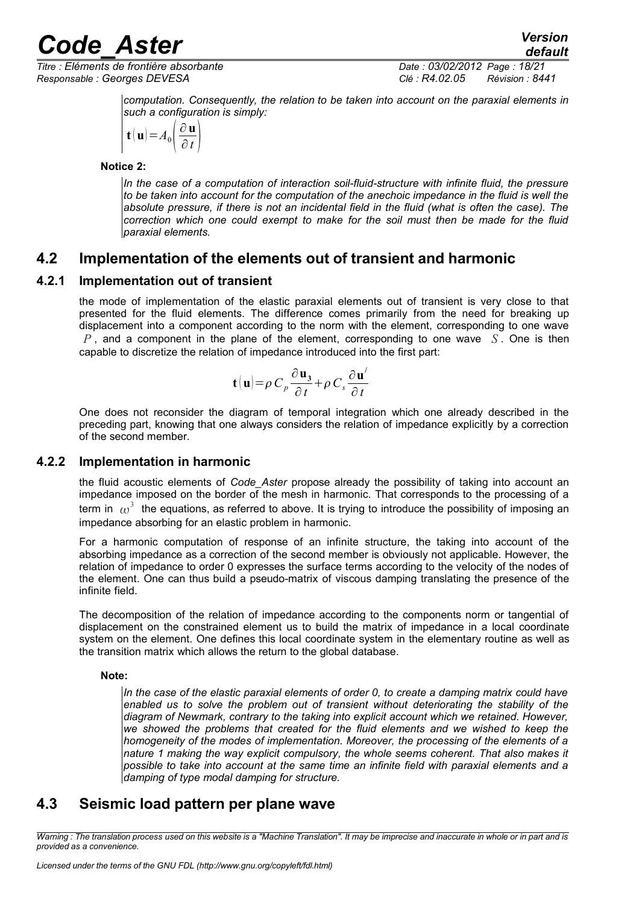*Titre : Eléments de frontière absorbante Date : 03/02/2012 Page : 18/21 Responsable : Georges DEVESA Clé : R4.02.05 Révision : 8441*

*default*

*computation. Consequently, the relation to be taken into account on the paraxial elements in such a configuration is simply:* 

$$
\mathbf{t}(\mathbf{u}) = A_0 \left( \frac{\partial \mathbf{u}}{\partial t} \right)
$$

**Notice 2:** 

*In the case of a computation of interaction soil-fluid-structure with infinite fluid, the pressure to be taken into account for the computation of the anechoic impedance in the fluid is well the absolute pressure, if there is not an incidental field in the fluid (what is often the case). The correction which one could exempt to make for the soil must then be made for the fluid paraxial elements.*

### <span id="page-17-3"></span>**4.2 Implementation of the elements out of transient and harmonic**

#### **4.2.1 Implementation out of transient**

<span id="page-17-2"></span>the mode of implementation of the elastic paraxial elements out of transient is very close to that presented for the fluid elements. The difference comes primarily from the need for breaking up displacement into a component according to the norm with the element, corresponding to one wave *P* , and a component in the plane of the element, corresponding to one wave *S* . One is then capable to discretize the relation of impedance introduced into the first part:

$$
\mathbf{t}(\mathbf{u}) = \rho \, C_p \frac{\partial \mathbf{u}_3}{\partial t} + \rho \, C_s \frac{\partial \mathbf{u}'}{\partial t}
$$

One does not reconsider the diagram of temporal integration which one already described in the preceding part, knowing that one always considers the relation of impedance explicitly by a correction of the second member.

#### **4.2.2 Implementation in harmonic**

<span id="page-17-1"></span>the fluid acoustic elements of *Code\_Aster* propose already the possibility of taking into account an impedance imposed on the border of the mesh in harmonic. That corresponds to the processing of a term in  $\,\omega^3\,$  the equations, as referred to above. It is trying to introduce the possibility of imposing an impedance absorbing for an elastic problem in harmonic.

For a harmonic computation of response of an infinite structure, the taking into account of the absorbing impedance as a correction of the second member is obviously not applicable. However, the relation of impedance to order 0 expresses the surface terms according to the velocity of the nodes of the element. One can thus build a pseudo-matrix of viscous damping translating the presence of the infinite field.

The decomposition of the relation of impedance according to the components norm or tangential of displacement on the constrained element us to build the matrix of impedance in a local coordinate system on the element. One defines this local coordinate system in the elementary routine as well as the transition matrix which allows the return to the global database.

#### **Note:**

*In the case of the elastic paraxial elements of order 0, to create a damping matrix could have enabled us to solve the problem out of transient without deteriorating the stability of the diagram of Newmark, contrary to the taking into explicit account which we retained. However, we showed the problems that created for the fluid elements and we wished to keep the homogeneity of the modes of implementation. Moreover, the processing of the elements of a nature 1 making the way explicit compulsory, the whole seems coherent. That also makes it possible to take into account at the same time an infinite field with paraxial elements and a damping of type modal damping for structure.* 

### <span id="page-17-0"></span>**4.3 Seismic load pattern per plane wave**

*Warning : The translation process used on this website is a "Machine Translation". It may be imprecise and inaccurate in whole or in part and is provided as a convenience.*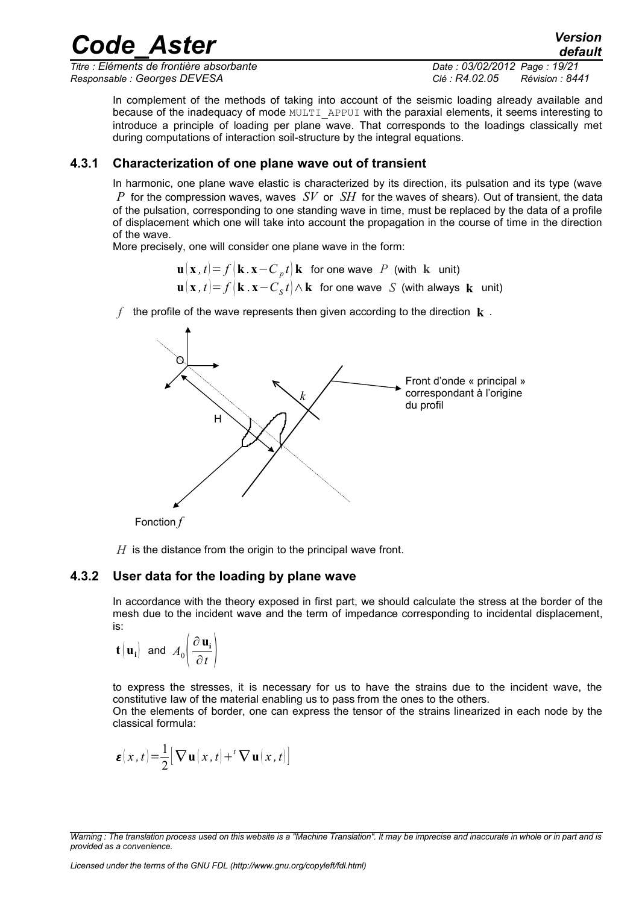*Titre : Eléments de frontière absorbante Date : 03/02/2012 Page : 19/21 Responsable : Georges DEVESA Clé : R4.02.05 Révision : 8441*

*default*

In complement of the methods of taking into account of the seismic loading already available and because of the inadequacy of mode MULTI\_APPUI with the paraxial elements, it seems interesting to introduce a principle of loading per plane wave. That corresponds to the loadings classically met during computations of interaction soil-structure by the integral equations.

*Code\_Aster Version*

#### **4.3.1 Characterization of one plane wave out of transient**

<span id="page-18-1"></span>In harmonic, one plane wave elastic is characterized by its direction, its pulsation and its type (wave *P* for the compression waves, waves *SV* or *SH* for the waves of shears). Out of transient, the data of the pulsation, corresponding to one standing wave in time, must be replaced by the data of a profile of displacement which one will take into account the propagation in the course of time in the direction of the wave.

More precisely, one will consider one plane wave in the form:

 $\mathbf{u} \left( \mathbf{x} \, , t \right) = f \left( \mathbf{k} \, . \, \mathbf{x} − C \, {_p}t \right) \mathbf{k}$  for one wave  $\,$   $P \,$  (with  $\,$  k  $\,$  unit)  $\mathbf{u}(\mathbf{x}\, ,t)$ =  $f\big(\mathbf{k} \, . \, \mathbf{x} - C_{S}t\big)$ ∧  $\mathbf{k}\,$  for one wave  $\, S\,$  (with always  $\, \mathbf{k}\,$  unit)

*f* the profile of the wave represents then given according to the direction **k** .



Fonction *f*

<span id="page-18-0"></span>*H* is the distance from the origin to the principal wave front.

#### **4.3.2 User data for the loading by plane wave**

In accordance with the theory exposed in first part, we should calculate the stress at the border of the mesh due to the incident wave and the term of impedance corresponding to incidental displacement, is:

$$
\mathbf{t} \begin{pmatrix} \mathbf{u_i} \end{pmatrix} \text{ and } A_0 \begin{pmatrix} \frac{\partial \mathbf{u_i}}{\partial t} \end{pmatrix}
$$

to express the stresses, it is necessary for us to have the strains due to the incident wave, the constitutive law of the material enabling us to pass from the ones to the others.

On the elements of border, one can express the tensor of the strains linearized in each node by the classical formula:

$$
\boldsymbol{\varepsilon}(x,t) = \frac{1}{2} [\boldsymbol{\nabla} \mathbf{u}(x,t) + ^t \boldsymbol{\nabla} \mathbf{u}(x,t)]
$$

*Warning : The translation process used on this website is a "Machine Translation". It may be imprecise and inaccurate in whole or in part and is provided as a convenience.*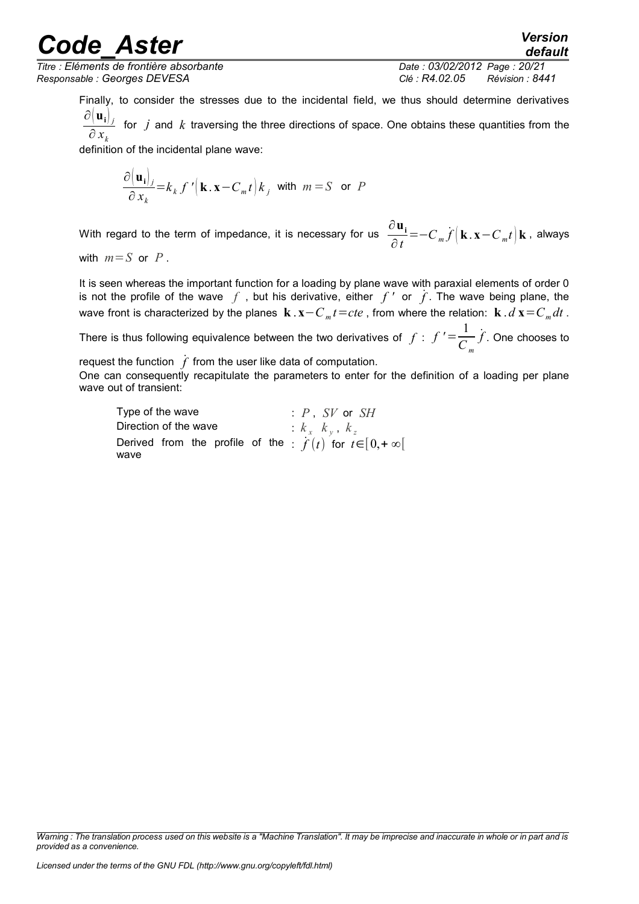*Titre : Eléments de frontière absorbante Date : 03/02/2012 Page : 20/21 Responsable : Georges DEVESA Clé : R4.02.05 Révision : 8441*

*default*

Finally, to consider the stresses due to the incidental field, we thus should determine derivatives  $\partial \big( \mathbf{u_i} \big)_j$ ∂ *x<sup>k</sup>* for *j* and *k* traversing the three directions of space. One obtains these quantities from the

definition of the incidental plane wave:

$$
\frac{\partial (\mathbf{u}_i|_j}{\partial x_k} = k_k f' \left( \mathbf{k} . \mathbf{x} - C_m t \right) k_j \text{ with } m = S \text{ or } P
$$

With regard to the term of impedance, it is necessary for us ∂**u<sup>i</sup>**  $\frac{\partial \mathbf{u_i}}{\partial t}$ = $-C_m \dot{f}(\mathbf{k} \cdot \mathbf{x} - C_m t) \mathbf{k}$ , always

with  $m = S$  or  $P$ .

It is seen whereas the important function for a loading by plane wave with paraxial elements of order 0 is not the profile of the wave  $f$ , but his derivative, either  $f'$  or  $\hat{f}$ . The wave being plane, the wave front is characterized by the planes  $\mathbf{k} \cdot \mathbf{x} - C_m t = cte$  , from where the relation:  $\mathbf{k} \cdot d\mathbf{x} = C_m dt$  .

There is thus following equivalence between the two derivatives of  $f : f' = \frac{1}{C}$ *C <sup>m</sup>* ˙*f* . One chooses to

request the function  $\dot{f}$  from the user like data of computation.

One can consequently recapitulate the parameters to enter for the definition of a loading per plane wave out of transient:

| Type of the wave      | : $P$ SV or SH                                                        |
|-----------------------|-----------------------------------------------------------------------|
| Direction of the wave | $k_x$ $k_y$ , $k_z$                                                   |
| wave                  | Derived from the profile of the $\hat{f}(t)$ for $t \in [0, +\infty[$ |

*Warning : The translation process used on this website is a "Machine Translation". It may be imprecise and inaccurate in whole or in part and is provided as a convenience.*